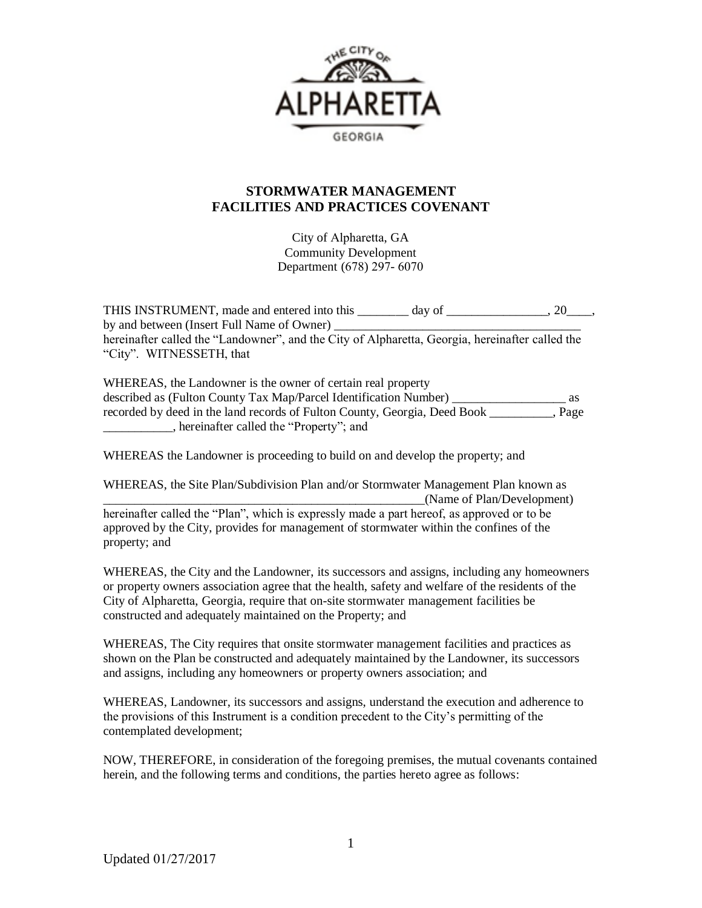

### **STORMWATER MANAGEMENT FACILITIES AND PRACTICES COVENANT**

City of Alpharetta, GA Community Development Department (678) 297- 6070

THIS INSTRUMENT, made and entered into this day of  $\qquad \qquad$ , 20, by and between (Insert Full Name of Owner) \_\_\_\_\_\_\_\_\_\_\_\_\_\_\_\_\_\_\_\_\_\_\_\_\_\_\_\_\_\_\_\_\_\_\_\_\_\_\_ hereinafter called the "Landowner", and the City of Alpharetta, Georgia, hereinafter called the "City". WITNESSETH, that

WHEREAS, the Landowner is the owner of certain real property described as (Fulton County Tax Map/Parcel Identification Number) \_\_\_\_\_\_\_\_\_\_\_\_\_\_\_\_\_\_ as recorded by deed in the land records of Fulton County, Georgia, Deed Book \_\_\_\_\_\_\_\_\_\_, Page \_\_\_\_\_\_\_\_\_\_\_, hereinafter called the "Property"; and

WHEREAS the Landowner is proceeding to build on and develop the property; and

WHEREAS, the Site Plan/Subdivision Plan and/or Stormwater Management Plan known as (Name of Plan/Development) hereinafter called the "Plan", which is expressly made a part hereof, as approved or to be approved by the City, provides for management of stormwater within the confines of the property; and

WHEREAS, the City and the Landowner, its successors and assigns, including any homeowners or property owners association agree that the health, safety and welfare of the residents of the City of Alpharetta, Georgia, require that on-site stormwater management facilities be constructed and adequately maintained on the Property; and

WHEREAS, The City requires that onsite stormwater management facilities and practices as shown on the Plan be constructed and adequately maintained by the Landowner, its successors and assigns, including any homeowners or property owners association; and

WHEREAS, Landowner, its successors and assigns, understand the execution and adherence to the provisions of this Instrument is a condition precedent to the City's permitting of the contemplated development;

NOW, THEREFORE, in consideration of the foregoing premises, the mutual covenants contained herein, and the following terms and conditions, the parties hereto agree as follows: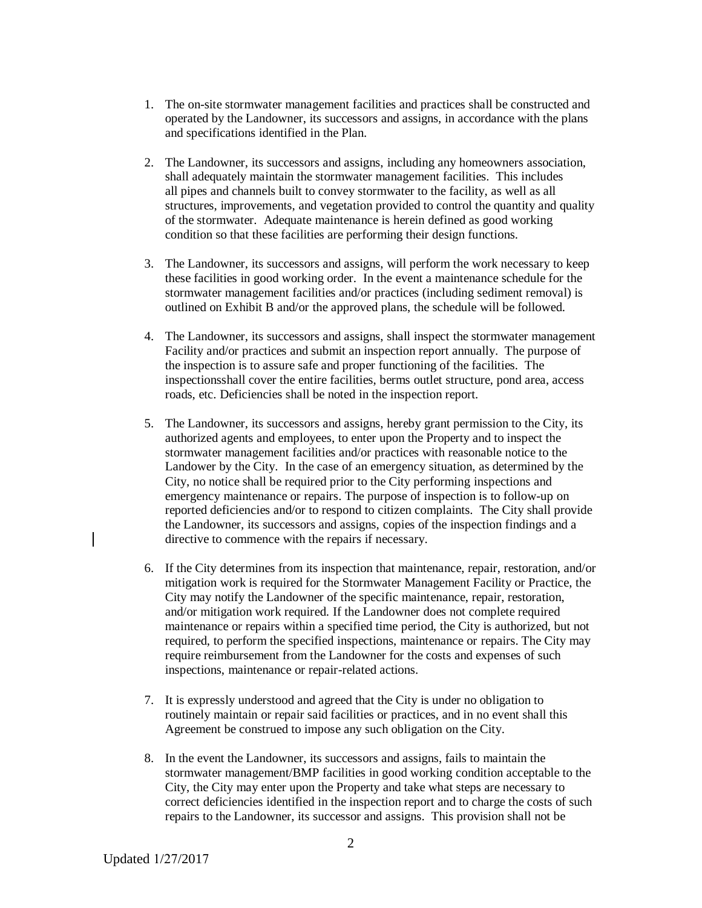- 1. The on-site stormwater management facilities and practices shall be constructed and operated by the Landowner, its successors and assigns, in accordance with the plans and specifications identified in the Plan.
- 2. The Landowner, its successors and assigns, including any homeowners association, shall adequately maintain the stormwater management facilities. This includes all pipes and channels built to convey stormwater to the facility, as well as all structures, improvements, and vegetation provided to control the quantity and quality of the stormwater. Adequate maintenance is herein defined as good working condition so that these facilities are performing their design functions.
- 3. The Landowner, its successors and assigns, will perform the work necessary to keep these facilities in good working order. In the event a maintenance schedule for the stormwater management facilities and/or practices (including sediment removal) is outlined on Exhibit B and/or the approved plans, the schedule will be followed.
- 4. The Landowner, its successors and assigns, shall inspect the stormwater management Facility and/or practices and submit an inspection report annually. The purpose of the inspection is to assure safe and proper functioning of the facilities. The inspectionsshall cover the entire facilities, berms outlet structure, pond area, access roads, etc. Deficiencies shall be noted in the inspection report.
- 5. The Landowner, its successors and assigns, hereby grant permission to the City, its authorized agents and employees, to enter upon the Property and to inspect the stormwater management facilities and/or practices with reasonable notice to the Landower by the City. In the case of an emergency situation, as determined by the City, no notice shall be required prior to the City performing inspections and emergency maintenance or repairs. The purpose of inspection is to follow-up on reported deficiencies and/or to respond to citizen complaints. The City shall provide the Landowner, its successors and assigns, copies of the inspection findings and a directive to commence with the repairs if necessary.
- 6. If the City determines from its inspection that maintenance, repair, restoration, and/or mitigation work is required for the Stormwater Management Facility or Practice, the City may notify the Landowner of the specific maintenance, repair, restoration, and/or mitigation work required. If the Landowner does not complete required maintenance or repairs within a specified time period, the City is authorized, but not required, to perform the specified inspections, maintenance or repairs. The City may require reimbursement from the Landowner for the costs and expenses of such inspections, maintenance or repair-related actions.
- 7. It is expressly understood and agreed that the City is under no obligation to routinely maintain or repair said facilities or practices, and in no event shall this Agreement be construed to impose any such obligation on the City.
- 8. In the event the Landowner, its successors and assigns, fails to maintain the stormwater management/BMP facilities in good working condition acceptable to the City, the City may enter upon the Property and take what steps are necessary to correct deficiencies identified in the inspection report and to charge the costs of such repairs to the Landowner, its successor and assigns. This provision shall not be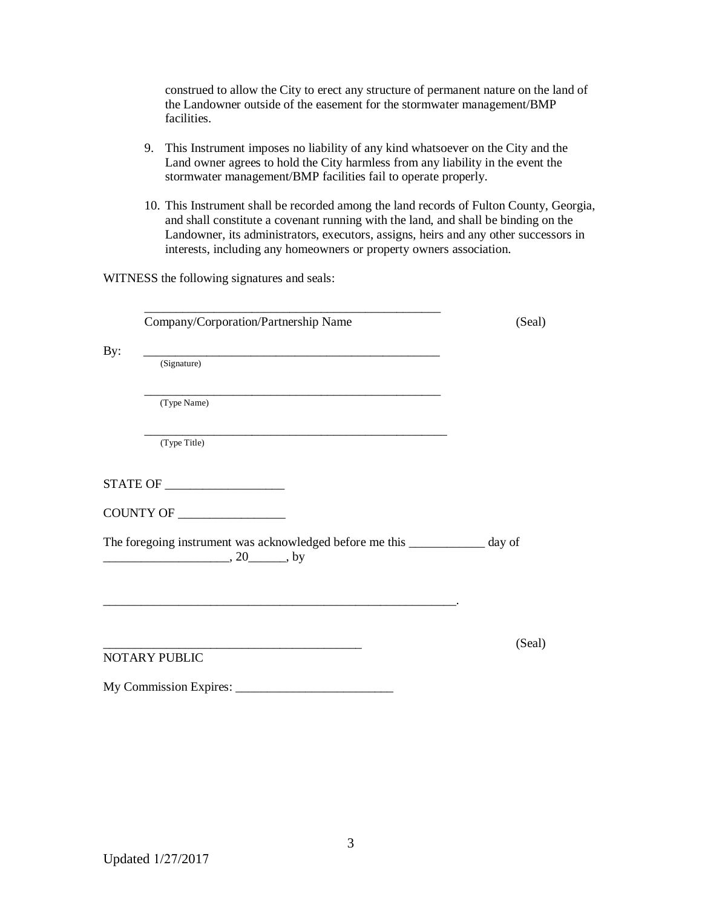| construed to allow the City to erect any structure of permanent nature on the land of |
|---------------------------------------------------------------------------------------|
| the Landowner outside of the easement for the stormwater management/BMP               |
| facilities.                                                                           |

- 9. This Instrument imposes no liability of any kind whatsoever on the City and the Land owner agrees to hold the City harmless from any liability in the event the stormwater management/BMP facilities fail to operate properly.
- 10. This Instrument shall be recorded among the land records of Fulton County, Georgia, and shall constitute a covenant running with the land, and shall be binding on the Landowner, its administrators, executors, assigns, heirs and any other successors in interests, including any homeowners or property owners association.

WITNESS the following signatures and seals:

Company/Corporation/Partnership Name (Seal)

\_\_\_\_\_\_\_\_\_\_\_\_\_\_\_\_\_\_\_\_\_\_\_\_\_\_\_\_\_\_\_\_\_\_\_\_\_\_\_\_\_\_\_\_\_\_\_

By: \_\_\_\_\_\_\_\_\_\_\_\_\_\_\_\_\_\_\_\_\_\_\_\_\_\_\_\_\_\_\_\_\_\_\_\_\_\_\_\_\_\_\_\_\_\_\_

(Signature)

\_\_\_\_\_\_\_\_\_\_\_\_\_\_\_\_\_\_\_\_\_\_\_\_\_\_\_\_\_\_\_\_\_\_\_\_\_\_\_\_\_\_\_\_\_\_\_ (Type Name)

\_\_\_\_\_\_\_\_\_\_\_\_\_\_\_\_\_\_\_\_\_\_\_\_\_\_\_\_\_\_\_\_\_\_\_\_\_\_\_\_\_\_\_\_\_\_\_\_ (Type Title)

STATE OF \_\_\_\_\_\_\_\_\_\_\_\_\_\_\_\_\_\_\_

COUNTY OF \_\_\_\_\_\_\_\_\_\_\_\_\_\_\_\_\_

The foregoing instrument was acknowledged before me this \_\_\_\_\_\_\_\_\_\_\_\_ day of \_\_\_\_\_\_\_\_\_\_\_\_\_\_\_\_\_\_\_\_, 20\_\_\_\_\_\_, by

\_\_\_\_\_\_\_\_\_\_\_\_\_\_\_\_\_\_\_\_\_\_\_\_\_\_\_\_\_\_\_\_\_\_\_\_\_\_\_\_\_\_\_\_\_\_\_\_\_\_\_\_\_\_\_\_.

NOTARY PUBLIC

My Commission Expires: \_\_\_\_\_\_\_\_\_\_\_\_\_\_\_\_\_\_\_\_\_\_\_\_\_

\_\_\_\_\_\_\_\_\_\_\_\_\_\_\_\_\_\_\_\_\_\_\_\_\_\_\_\_\_\_\_\_\_\_\_\_\_\_\_\_\_ (Seal)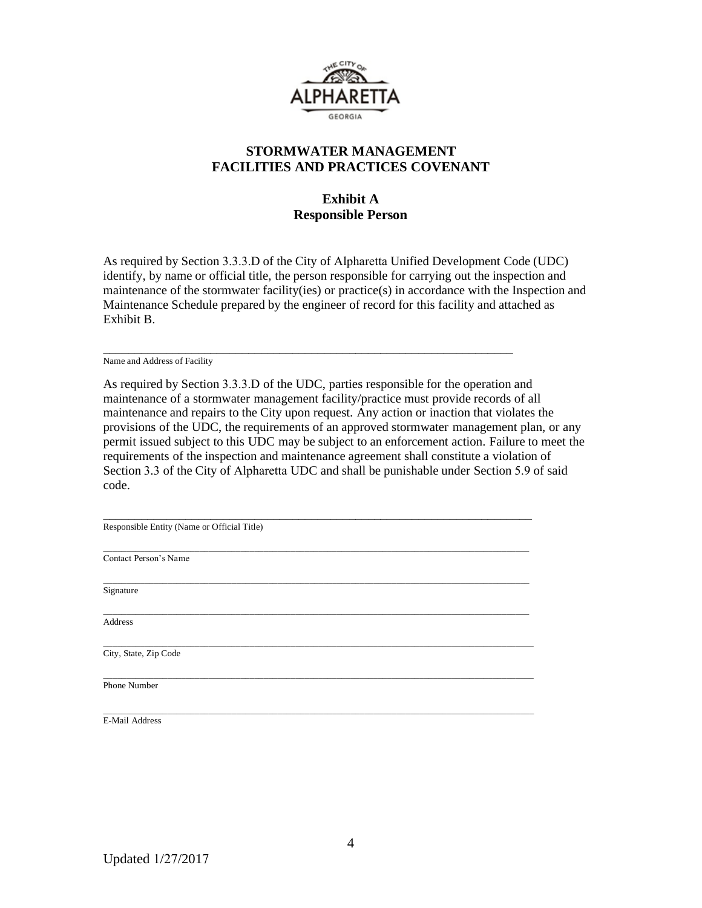

#### **STORMWATER MANAGEMENT FACILITIES AND PRACTICES COVENANT**

## **Exhibit A Responsible Person**

As required by Section 3.3.3.D of the City of Alpharetta Unified Development Code (UDC) identify, by name or official title, the person responsible for carrying out the inspection and maintenance of the stormwater facility(ies) or practice(s) in accordance with the Inspection and Maintenance Schedule prepared by the engineer of record for this facility and attached as Exhibit B.

\_\_\_\_\_\_\_\_\_\_\_\_\_\_\_\_\_\_\_\_\_\_\_\_\_\_\_\_\_\_\_\_\_\_\_\_\_\_\_\_\_\_\_\_\_\_\_\_\_\_\_\_\_\_\_\_\_\_\_\_\_\_\_\_\_ Name and Address of Facility

As required by Section 3.3.3.D of the UDC, parties responsible for the operation and maintenance of a stormwater management facility/practice must provide records of all maintenance and repairs to the City upon request. Any action or inaction that violates the provisions of the UDC, the requirements of an approved stormwater management plan, or any permit issued subject to this UDC may be subject to an enforcement action. Failure to meet the requirements of the inspection and maintenance agreement shall constitute a violation of Section 3.3 of the City of Alpharetta UDC and shall be punishable under Section 5.9 of said code.

\_\_\_\_\_\_\_\_\_\_\_\_\_\_\_\_\_\_\_\_\_\_\_\_\_\_\_\_\_\_\_\_\_\_\_\_\_\_\_\_\_\_\_\_\_\_\_\_\_\_\_\_\_\_\_\_\_\_\_\_\_\_\_\_\_\_\_\_

\_\_\_\_\_\_\_\_\_\_\_\_\_\_\_\_\_\_\_\_\_\_\_\_\_\_\_\_\_\_\_\_\_\_\_\_\_\_\_\_\_\_\_\_\_\_\_\_\_\_\_\_\_\_\_\_\_\_\_\_\_\_\_\_\_\_\_\_\_\_\_\_\_\_\_\_\_\_\_\_\_\_\_\_\_\_\_\_\_\_\_\_\_\_

\_\_\_\_\_\_\_\_\_\_\_\_\_\_\_\_\_\_\_\_\_\_\_\_\_\_\_\_\_\_\_\_\_\_\_\_\_\_\_\_\_\_\_\_\_\_\_\_\_\_\_\_\_\_\_\_\_\_\_\_\_\_\_\_\_\_\_\_\_\_\_\_\_\_\_\_\_\_\_\_\_\_\_\_\_\_\_\_\_\_\_\_\_\_

Responsible Entity (Name or Official Title)

\_\_\_\_\_\_\_\_\_\_\_\_\_\_\_\_\_\_\_\_\_\_\_\_\_\_\_\_\_\_\_\_\_\_\_\_\_\_\_\_\_\_\_\_\_\_\_\_\_\_\_\_\_\_\_\_\_\_\_\_\_\_\_\_\_\_\_\_\_\_\_\_\_\_\_\_\_\_\_\_\_\_\_\_\_\_\_\_\_\_\_\_\_ Contact Person's Name

\_\_\_\_\_\_\_\_\_\_\_\_\_\_\_\_\_\_\_\_\_\_\_\_\_\_\_\_\_\_\_\_\_\_\_\_\_\_\_\_\_\_\_\_\_\_\_\_\_\_\_\_\_\_\_\_\_\_\_\_\_\_\_\_\_\_\_\_\_\_\_\_\_\_\_\_\_\_\_\_\_\_\_\_\_\_\_\_\_\_\_\_\_ Signature

\_\_\_\_\_\_\_\_\_\_\_\_\_\_\_\_\_\_\_\_\_\_\_\_\_\_\_\_\_\_\_\_\_\_\_\_\_\_\_\_\_\_\_\_\_\_\_\_\_\_\_\_\_\_\_\_\_\_\_\_\_\_\_\_\_\_\_\_\_\_\_\_\_\_\_\_\_\_\_\_\_\_\_\_\_\_\_\_\_\_\_\_\_ Address

City, State, Zip Code

Phone Number

\_\_\_\_\_\_\_\_\_\_\_\_\_\_\_\_\_\_\_\_\_\_\_\_\_\_\_\_\_\_\_\_\_\_\_\_\_\_\_\_\_\_\_\_\_\_\_\_\_\_\_\_\_\_\_\_\_\_\_\_\_\_\_\_\_\_\_\_\_\_\_\_\_\_\_\_\_\_\_\_\_\_\_\_\_\_\_\_\_\_\_\_\_\_ E-Mail Address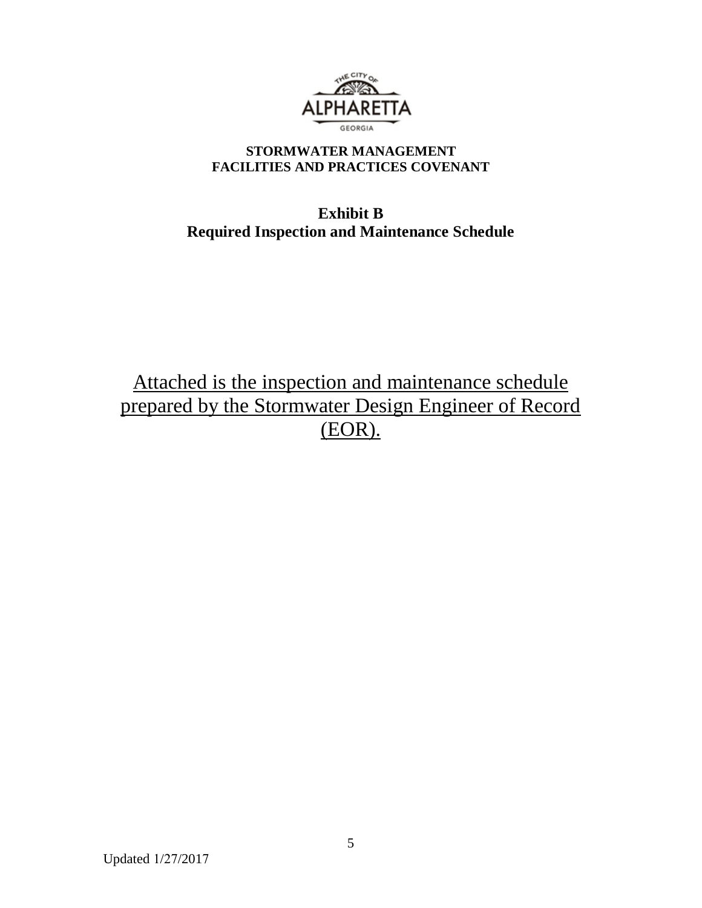

## **STORMWATER MANAGEMENT FACILITIES AND PRACTICES COVENANT**

# **Exhibit B Required Inspection and Maintenance Schedule**

Attached is the inspection and maintenance schedule prepared by the Stormwater Design Engineer of Record (EOR).